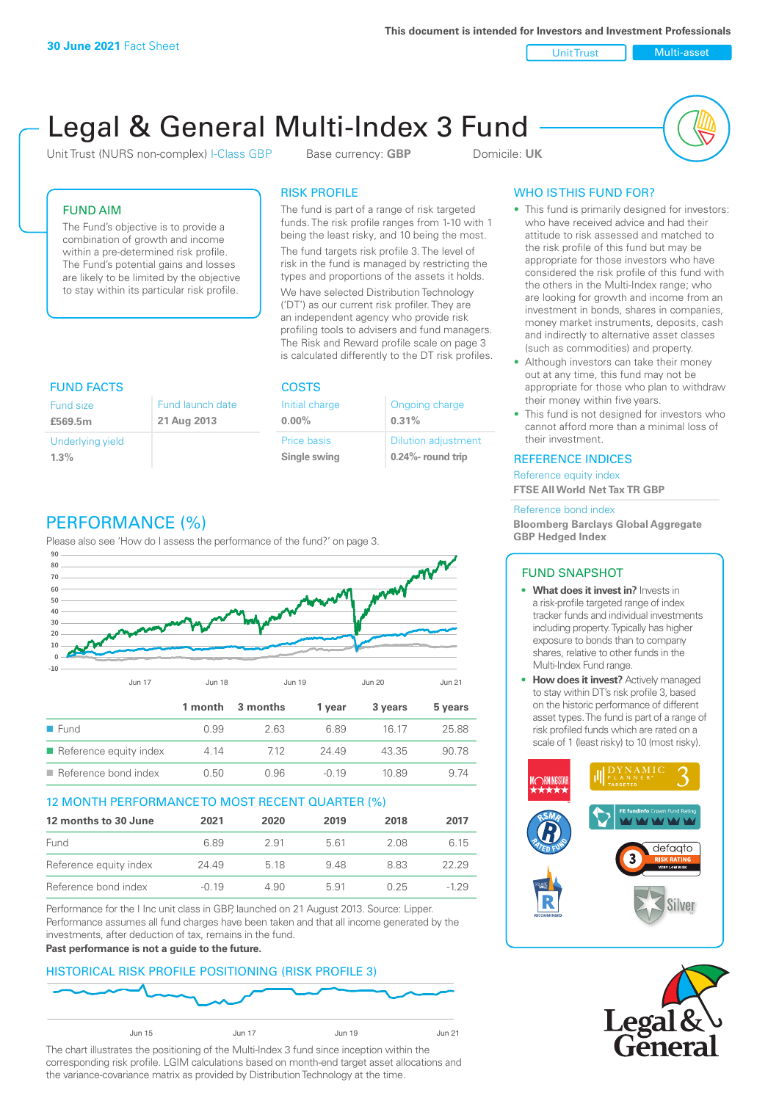**This document is intended for Investors and Investment Professionals**

Unit Trust Nulti-asset

# Legal & General Multi-Index 3 Fund

Unit Trust (NURS non-complex) I-Class GBP Base currency: **GBP** Domicile: UK



# FUND AIM

The Fund's objective is to provide a combination of growth and income within a pre-determined risk profile. The Fund's potential gains and losses are likely to be limited by the objective to stay within its particular risk profile.

# RISK PROFILE

The fund is part of a range of risk targeted funds. The risk profile ranges from 1-10 with 1 being the least risky, and 10 being the most.

The fund targets risk profile 3. The level of risk in the fund is managed by restricting the types and proportions of the assets it holds. We have selected Distribution Technology ('DT') as our current risk profiler. They are an independent agency who provide risk profiling tools to advisers and fund managers. The Risk and Reward profile scale on page 3 is calculated differently to the DT risk profiles.

| <b>FUND FACTS</b>                                       |  | <b>COSTS</b>                |                                                     |  |
|---------------------------------------------------------|--|-----------------------------|-----------------------------------------------------|--|
| Fund launch date<br>Fund size<br>21 Aug 2013<br>£569.5m |  | Initial charge<br>$0.00\%$  | Ongoing charge<br>0.31%                             |  |
| Underlying yield<br>1.3%                                |  | Price basis<br>Single swing | <b>Dilution adjustment</b><br>$0.24\%$ - round trip |  |

# PERFORMANCE (%)

Please also see 'How do I assess the performance of the fund?' on page 3.



# 12 MONTH PERFORMANCE TO MOST RECENT QUARTER (%)

| 12 months to 30 June   | 2021    | 2020 | 2019 | 2018 | 2017   |
|------------------------|---------|------|------|------|--------|
| Fund                   | 6.89    | 2.91 | 561  | 2.08 | 6.15   |
| Reference equity index | 24.49   | 5 18 | 948  | 883  | 22.29  |
| Reference bond index   | $-0.19$ | 4.90 | 5.91 | በ 25 | $-129$ |

Performance for the I Inc unit class in GBP, launched on 21 August 2013. Source: Lipper. Performance assumes all fund charges have been taken and that all income generated by the investments, after deduction of tax, remains in the fund.

#### **Past performance is not a guide to the future.**

# HISTORICAL RISK PROFILE POSITIONING (RISK PROFILE 3)



The chart illustrates the positioning of the Multi-Index 3 fund since inception within the corresponding risk profile. LGIM calculations based on month-end target asset allocations and the variance-covariance matrix as provided by Distribution Technology at the time.

# WHO IS THIS FUND FOR?

- This fund is primarily designed for investors: who have received advice and had their attitude to risk assessed and matched to the risk profile of this fund but may be appropriate for those investors who have considered the risk profile of this fund with the others in the Multi-Index range; who are looking for growth and income from an investment in bonds, shares in companies, money market instruments, deposits, cash and indirectly to alternative asset classes (such as commodities) and property.
- Although investors can take their money out at any time, this fund may not be appropriate for those who plan to withdraw their money within five years.
- This fund is not designed for investors who cannot afford more than a minimal loss of their investment.

### REFERENCE INDICES

Reference equity index **FTSE All World Net Tax TR GBP**

#### Reference bond index

**Bloomberg Barclays Global Aggregate GBP Hedged Index**

# FUND SNAPSHOT

- **• What does it invest in?** Invests in a risk-profile targeted range of index tracker funds and individual investments including property. Typically has higher exposure to bonds than to company shares, relative to other funds in the Multi-Index Fund range.
- **• How does it invest?** Actively managed to stay within DT's risk profile 3, based on the historic performance of different asset types. The fund is part of a range of risk profiled funds which are rated on a scale of 1 (least risky) to 10 (most risky).



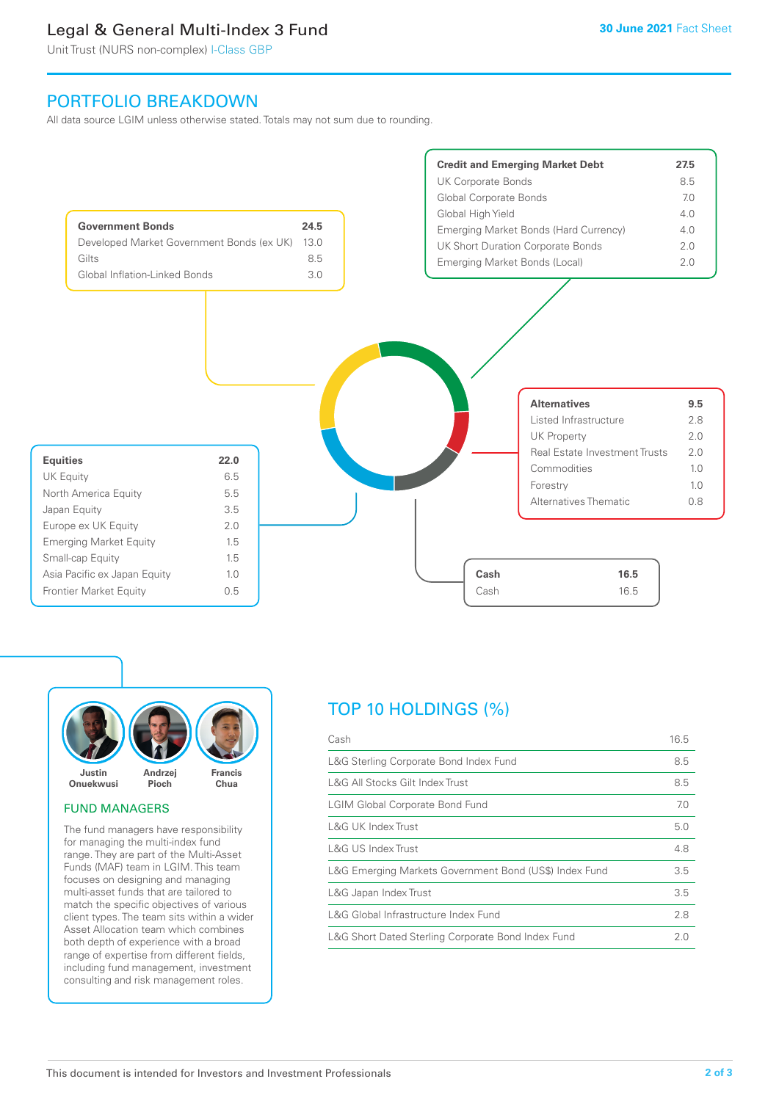# Legal & General Multi-Index 3 Fund

Unit Trust (NURS non-complex) I-Class GBP

# PORTFOLIO BREAKDOWN

All data source LGIM unless otherwise stated. Totals may not sum due to rounding.





#### FUND MANAGERS

The fund managers have responsibility for managing the multi-index fund range. They are part of the Multi-Asset Funds (MAF) team in LGIM. This team focuses on designing and managing multi-asset funds that are tailored to match the specific objectives of various client types. The team sits within a wider Asset Allocation team which combines both depth of experience with a broad range of expertise from different fields, including fund management, investment consulting and risk management roles.

# TOP 10 HOLDINGS (%)

| Cash                                                   | 16.5 |
|--------------------------------------------------------|------|
| L&G Sterling Corporate Bond Index Fund                 | 8.5  |
| L&G All Stocks Gilt Index Trust                        | 8.5  |
| <b>LGIM Global Corporate Bond Fund</b>                 | 7.0  |
| L&G UK Index Trust                                     | 5.0  |
| <b>L&amp;G US Index Trust</b>                          | 4.8  |
| L&G Emerging Markets Government Bond (US\$) Index Fund | 3.5  |
| L&G Japan Index Trust                                  | 3.5  |
| L&G Global Infrastructure Index Fund                   | 2.8  |
| L&G Short Dated Sterling Corporate Bond Index Fund     | 2.0  |